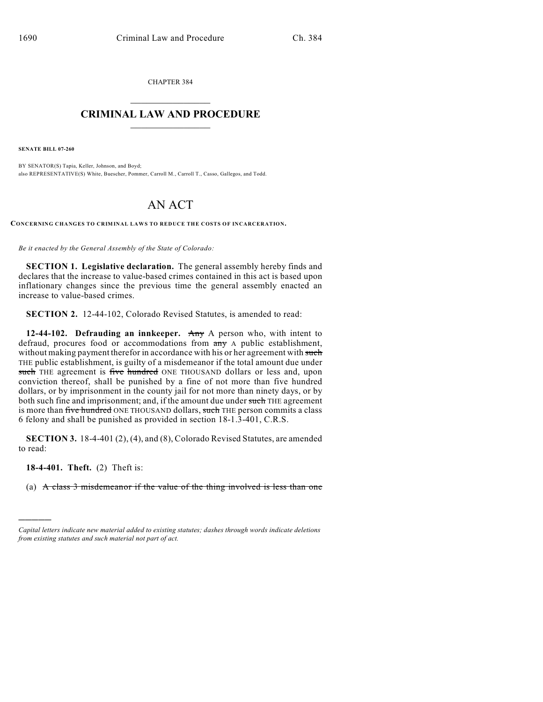CHAPTER 384

## $\mathcal{L}_\text{max}$  . The set of the set of the set of the set of the set of the set of the set of the set of the set of the set of the set of the set of the set of the set of the set of the set of the set of the set of the set **CRIMINAL LAW AND PROCEDURE**  $\_$

**SENATE BILL 07-260**

BY SENATOR(S) Tapia, Keller, Johnson, and Boyd; also REPRESENTATIVE(S) White, Buescher, Pommer, Carroll M., Carroll T., Casso, Gallegos, and Todd.

## AN ACT

**CONCERNING CHANGES TO CRIMINAL LAWS TO REDUCE THE COSTS OF INCARCERATION.**

*Be it enacted by the General Assembly of the State of Colorado:*

**SECTION 1. Legislative declaration.** The general assembly hereby finds and declares that the increase to value-based crimes contained in this act is based upon inflationary changes since the previous time the general assembly enacted an increase to value-based crimes.

**SECTION 2.** 12-44-102, Colorado Revised Statutes, is amended to read:

**12-44-102. Defrauding an innkeeper.** Any A person who, with intent to defraud, procures food or accommodations from  $\frac{1}{a}$  A public establishment, without making payment therefor in accordance with his or her agreement with such THE public establishment, is guilty of a misdemeanor if the total amount due under such THE agreement is five hundred ONE THOUSAND dollars or less and, upon conviction thereof, shall be punished by a fine of not more than five hundred dollars, or by imprisonment in the county jail for not more than ninety days, or by both such fine and imprisonment; and, if the amount due under such THE agreement is more than five hundred ONE THOUSAND dollars, such THE person commits a class 6 felony and shall be punished as provided in section 18-1.3-401, C.R.S.

**SECTION 3.** 18-4-401 (2), (4), and (8), Colorado Revised Statutes, are amended to read:

**18-4-401. Theft.** (2) Theft is:

)))))

(a)  $\Delta$  class 3 misdemeanor if the value of the thing involved is less than one

*Capital letters indicate new material added to existing statutes; dashes through words indicate deletions from existing statutes and such material not part of act.*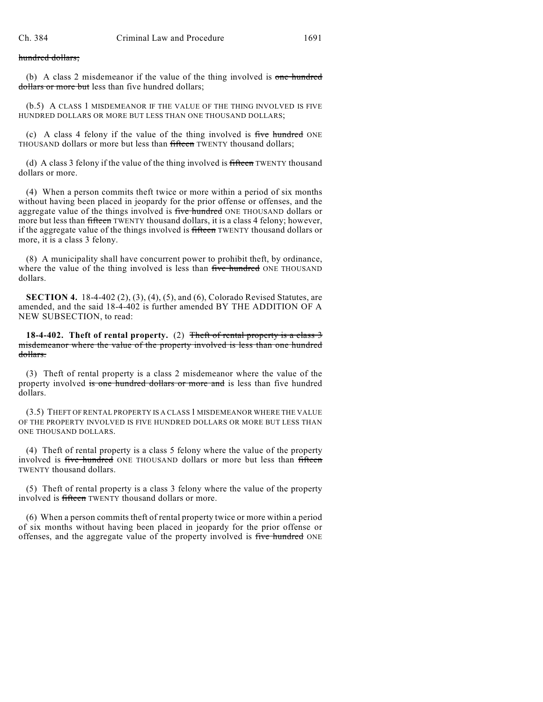## hundred dollars;

(b) A class 2 misdemeanor if the value of the thing involved is  $one$  hundred dollars or more but less than five hundred dollars;

(b.5) A CLASS 1 MISDEMEANOR IF THE VALUE OF THE THING INVOLVED IS FIVE HUNDRED DOLLARS OR MORE BUT LESS THAN ONE THOUSAND DOLLARS;

(c) A class 4 felony if the value of the thing involved is five hundred ONE THOUSAND dollars or more but less than fifteen TWENTY thousand dollars;

(d) A class 3 felony if the value of the thing involved is fifteen TWENTY thousand dollars or more.

(4) When a person commits theft twice or more within a period of six months without having been placed in jeopardy for the prior offense or offenses, and the aggregate value of the things involved is five hundred ONE THOUSAND dollars or more but less than fifteen TWENTY thousand dollars, it is a class 4 felony; however, if the aggregate value of the things involved is fifteen TWENTY thousand dollars or more, it is a class 3 felony.

(8) A municipality shall have concurrent power to prohibit theft, by ordinance, where the value of the thing involved is less than five hundred ONE THOUSAND dollars.

**SECTION 4.** 18-4-402 (2), (3), (4), (5), and (6), Colorado Revised Statutes, are amended, and the said 18-4-402 is further amended BY THE ADDITION OF A NEW SUBSECTION, to read:

**18-4-402. Theft of rental property.** (2) Theft of rental property is a class 3 misdemeanor where the value of the property involved is less than one hundred dollars.

(3) Theft of rental property is a class 2 misdemeanor where the value of the property involved is one hundred dollars or more and is less than five hundred dollars.

(3.5) THEFT OFRENTAL PROPERTY IS A CLASS 1 MISDEMEANOR WHERE THE VALUE OF THE PROPERTY INVOLVED IS FIVE HUNDRED DOLLARS OR MORE BUT LESS THAN ONE THOUSAND DOLLARS.

(4) Theft of rental property is a class 5 felony where the value of the property involved is five hundred ONE THOUSAND dollars or more but less than fifteen TWENTY thousand dollars.

(5) Theft of rental property is a class 3 felony where the value of the property involved is fifteen TWENTY thousand dollars or more.

(6) When a person commits theft of rental property twice or more within a period of six months without having been placed in jeopardy for the prior offense or offenses, and the aggregate value of the property involved is five hundred ONE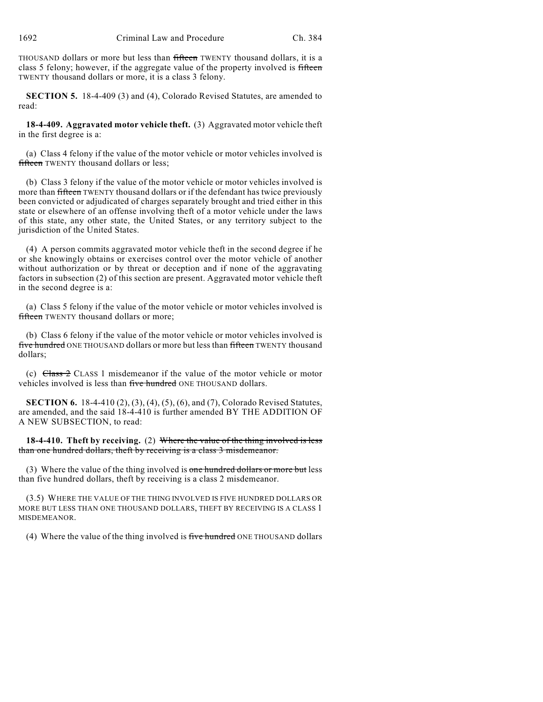THOUSAND dollars or more but less than fifteen TWENTY thousand dollars, it is a class 5 felony; however, if the aggregate value of the property involved is fifteen TWENTY thousand dollars or more, it is a class 3 felony.

**SECTION 5.** 18-4-409 (3) and (4), Colorado Revised Statutes, are amended to read:

**18-4-409. Aggravated motor vehicle theft.** (3) Aggravated motor vehicle theft in the first degree is a:

(a) Class 4 felony if the value of the motor vehicle or motor vehicles involved is fifteen TWENTY thousand dollars or less;

(b) Class 3 felony if the value of the motor vehicle or motor vehicles involved is more than fifteen TWENTY thousand dollars or if the defendant has twice previously been convicted or adjudicated of charges separately brought and tried either in this state or elsewhere of an offense involving theft of a motor vehicle under the laws of this state, any other state, the United States, or any territory subject to the jurisdiction of the United States.

(4) A person commits aggravated motor vehicle theft in the second degree if he or she knowingly obtains or exercises control over the motor vehicle of another without authorization or by threat or deception and if none of the aggravating factors in subsection (2) of this section are present. Aggravated motor vehicle theft in the second degree is a:

(a) Class 5 felony if the value of the motor vehicle or motor vehicles involved is fifteen TWENTY thousand dollars or more:

(b) Class 6 felony if the value of the motor vehicle or motor vehicles involved is five hundred ONE THOUSAND dollars or more but less than fifteen TWENTY thousand dollars;

(c)  $Class 2$  CLASS 1 misdemeanor if the value of the motor vehicle or motor vehicles involved is less than five hundred ONE THOUSAND dollars.

**SECTION 6.** 18-4-410 (2), (3), (4), (5), (6), and (7), Colorado Revised Statutes, are amended, and the said 18-4-410 is further amended BY THE ADDITION OF A NEW SUBSECTION, to read:

**18-4-410. Theft by receiving.** (2) Where the value of the thing involved is less than one hundred dollars, theft by receiving is a class 3 misdemeanor.

(3) Where the value of the thing involved is one hundred dollars or more but less than five hundred dollars, theft by receiving is a class 2 misdemeanor.

(3.5) WHERE THE VALUE OF THE THING INVOLVED IS FIVE HUNDRED DOLLARS OR MORE BUT LESS THAN ONE THOUSAND DOLLARS, THEFT BY RECEIVING IS A CLASS 1 MISDEMEANOR.

(4) Where the value of the thing involved is five hundred ONE THOUSAND dollars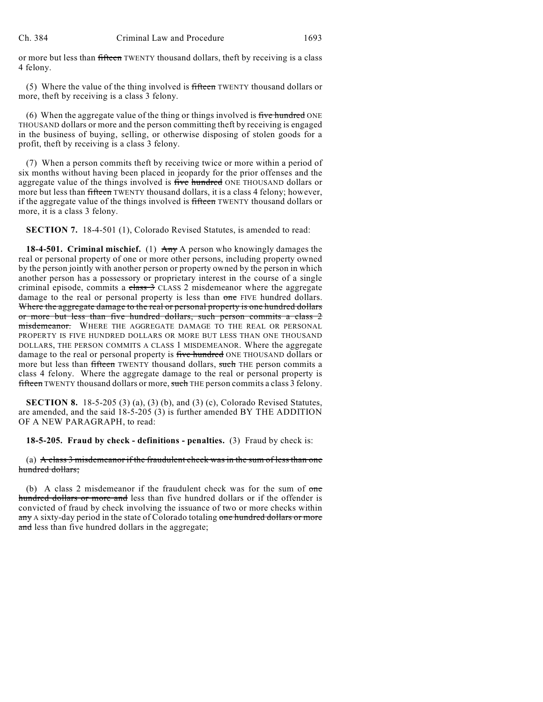or more but less than fifteen TWENTY thousand dollars, theft by receiving is a class 4 felony.

(5) Where the value of the thing involved is fifteen TWENTY thousand dollars or more, theft by receiving is a class 3 felony.

(6) When the aggregate value of the thing or things involved is five hundred ONE THOUSAND dollars or more and the person committing theft by receiving is engaged in the business of buying, selling, or otherwise disposing of stolen goods for a profit, theft by receiving is a class 3 felony.

(7) When a person commits theft by receiving twice or more within a period of six months without having been placed in jeopardy for the prior offenses and the aggregate value of the things involved is five hundred ONE THOUSAND dollars or more but less than fifteen TWENTY thousand dollars, it is a class 4 felony; however, if the aggregate value of the things involved is fifteen TWENTY thousand dollars or more, it is a class 3 felony.

**SECTION 7.** 18-4-501 (1), Colorado Revised Statutes, is amended to read:

**18-4-501. Criminal mischief.** (1) Any A person who knowingly damages the real or personal property of one or more other persons, including property owned by the person jointly with another person or property owned by the person in which another person has a possessory or proprietary interest in the course of a single criminal episode, commits a  $\frac{1}{3}$  CLASS 2 misdemeanor where the aggregate damage to the real or personal property is less than one FIVE hundred dollars. Where the aggregate damage to the real or personal property is one hundred dollars or more but less than five hundred dollars, such person commits a class 2 misdemeanor. WHERE THE AGGREGATE DAMAGE TO THE REAL OR PERSONAL PROPERTY IS FIVE HUNDRED DOLLARS OR MORE BUT LESS THAN ONE THOUSAND DOLLARS, THE PERSON COMMITS A CLASS 1 MISDEMEANOR. Where the aggregate damage to the real or personal property is five hundred ONE THOUSAND dollars or more but less than fifteen TWENTY thousand dollars, such THE person commits a class 4 felony. Where the aggregate damage to the real or personal property is fifteen TWENTY thousand dollars or more, such THE person commits a class 3 felony.

**SECTION 8.** 18-5-205 (3) (a), (3) (b), and (3) (c), Colorado Revised Statutes, are amended, and the said 18-5-205 (3) is further amended BY THE ADDITION OF A NEW PARAGRAPH, to read:

**18-5-205. Fraud by check - definitions - penalties.** (3) Fraud by check is:

(a) A class 3 misdemeanor if the fraudulent check was in the sum of less than one hundred dollars;

(b) A class 2 misdemeanor if the fraudulent check was for the sum of  $\sigma$ hundred dollars or more and less than five hundred dollars or if the offender is convicted of fraud by check involving the issuance of two or more checks within any A sixty-day period in the state of Colorado totaling one hundred dollars or more and less than five hundred dollars in the aggregate;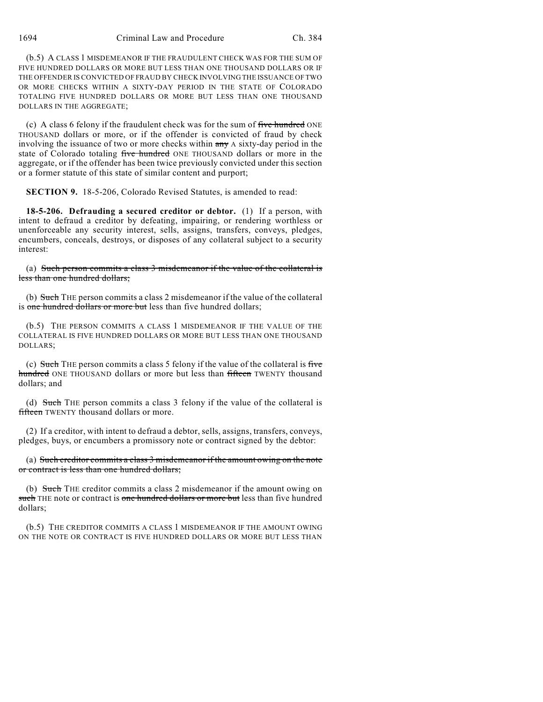(b.5) A CLASS 1 MISDEMEANOR IF THE FRAUDULENT CHECK WAS FOR THE SUM OF FIVE HUNDRED DOLLARS OR MORE BUT LESS THAN ONE THOUSAND DOLLARS OR IF THE OFFENDER IS CONVICTED OF FRAUD BY CHECK INVOLVING THE ISSUANCE OF TWO OR MORE CHECKS WITHIN A SIXTY-DAY PERIOD IN THE STATE OF COLORADO TOTALING FIVE HUNDRED DOLLARS OR MORE BUT LESS THAN ONE THOUSAND DOLLARS IN THE AGGREGATE;

(c) A class 6 felony if the fraudulent check was for the sum of  $f$  five hundred ONE THOUSAND dollars or more, or if the offender is convicted of fraud by check involving the issuance of two or more checks within any A sixty-day period in the state of Colorado totaling five hundred ONE THOUSAND dollars or more in the aggregate, or if the offender has been twice previously convicted under this section or a former statute of this state of similar content and purport;

**SECTION 9.** 18-5-206, Colorado Revised Statutes, is amended to read:

**18-5-206. Defrauding a secured creditor or debtor.** (1) If a person, with intent to defraud a creditor by defeating, impairing, or rendering worthless or unenforceable any security interest, sells, assigns, transfers, conveys, pledges, encumbers, conceals, destroys, or disposes of any collateral subject to a security interest:

(a) Such person commits a class 3 misdemeanor if the value of the collateral is less than one hundred dollars;

(b) Such THE person commits a class 2 misdemeanor if the value of the collateral is one hundred dollars or more but less than five hundred dollars;

(b.5) THE PERSON COMMITS A CLASS 1 MISDEMEANOR IF THE VALUE OF THE COLLATERAL IS FIVE HUNDRED DOLLARS OR MORE BUT LESS THAN ONE THOUSAND DOLLARS;

(c) Such THE person commits a class 5 felony if the value of the collateral is five hundred ONE THOUSAND dollars or more but less than fifteen TWENTY thousand dollars; and

(d) Such THE person commits a class 3 felony if the value of the collateral is **fifteen** TWENTY thousand dollars or more.

(2) If a creditor, with intent to defraud a debtor, sells, assigns, transfers, conveys, pledges, buys, or encumbers a promissory note or contract signed by the debtor:

(a) Such creditor commits a class 3 misdemeanor if the amount owing on the note or contract is less than one hundred dollars;

(b) Such THE creditor commits a class 2 misdemeanor if the amount owing on such THE note or contract is one hundred dollars or more but less than five hundred dollars;

(b.5) THE CREDITOR COMMITS A CLASS 1 MISDEMEANOR IF THE AMOUNT OWING ON THE NOTE OR CONTRACT IS FIVE HUNDRED DOLLARS OR MORE BUT LESS THAN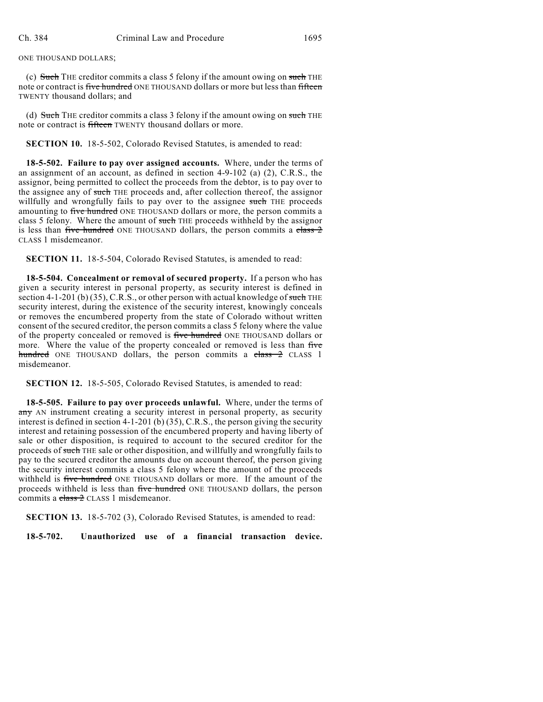ONE THOUSAND DOLLARS;

(c) Such THE creditor commits a class 5 felony if the amount owing on such THE note or contract is five hundred ONE THOUSAND dollars or more but less than fifteen TWENTY thousand dollars; and

(d) Such THE creditor commits a class 3 felony if the amount owing on such THE note or contract is fifteen TWENTY thousand dollars or more.

**SECTION 10.** 18-5-502, Colorado Revised Statutes, is amended to read:

**18-5-502. Failure to pay over assigned accounts.** Where, under the terms of an assignment of an account, as defined in section 4-9-102 (a) (2), C.R.S., the assignor, being permitted to collect the proceeds from the debtor, is to pay over to the assignee any of such THE proceeds and, after collection thereof, the assignor willfully and wrongfully fails to pay over to the assignee such THE proceeds amounting to five hundred ONE THOUSAND dollars or more, the person commits a class 5 felony. Where the amount of such THE proceeds withheld by the assignor is less than five hundred ONE THOUSAND dollars, the person commits a class  $2$ CLASS 1 misdemeanor.

**SECTION 11.** 18-5-504, Colorado Revised Statutes, is amended to read:

**18-5-504. Concealment or removal of secured property.** If a person who has given a security interest in personal property, as security interest is defined in section  $4-1-201$  (b) (35), C.R.S., or other person with actual knowledge of such THE security interest, during the existence of the security interest, knowingly conceals or removes the encumbered property from the state of Colorado without written consent of the secured creditor, the person commits a class 5 felony where the value of the property concealed or removed is five hundred ONE THOUSAND dollars or more. Where the value of the property concealed or removed is less than five hundred ONE THOUSAND dollars, the person commits a class 2 CLASS 1 misdemeanor.

**SECTION 12.** 18-5-505, Colorado Revised Statutes, is amended to read:

**18-5-505. Failure to pay over proceeds unlawful.** Where, under the terms of any AN instrument creating a security interest in personal property, as security interest is defined in section 4-1-201 (b) (35), C.R.S., the person giving the security interest and retaining possession of the encumbered property and having liberty of sale or other disposition, is required to account to the secured creditor for the proceeds of such THE sale or other disposition, and willfully and wrongfully fails to pay to the secured creditor the amounts due on account thereof, the person giving the security interest commits a class 5 felony where the amount of the proceeds withheld is five hundred ONE THOUSAND dollars or more. If the amount of the proceeds withheld is less than five hundred ONE THOUSAND dollars, the person commits a class 2 CLASS 1 misdemeanor.

**SECTION 13.** 18-5-702 (3), Colorado Revised Statutes, is amended to read:

**18-5-702. Unauthorized use of a financial transaction device.**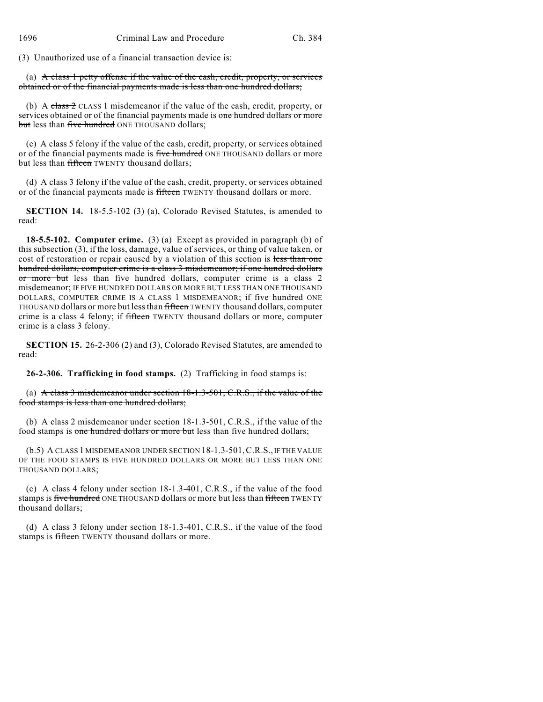(3) Unauthorized use of a financial transaction device is:

(a) A class 1 petty offense if the value of the cash, credit, property, or services obtained or of the financial payments made is less than one hundred dollars;

(b) A  $\frac{1}{2}$  CLASS 1 misdemeanor if the value of the cash, credit, property, or services obtained or of the financial payments made is one hundred dollars or more but less than five hundred ONE THOUSAND dollars;

(c) A class 5 felony if the value of the cash, credit, property, or services obtained or of the financial payments made is five hundred ONE THOUSAND dollars or more but less than fifteen TWENTY thousand dollars;

(d) A class 3 felony if the value of the cash, credit, property, or services obtained or of the financial payments made is fifteen TWENTY thousand dollars or more.

**SECTION 14.** 18-5.5-102 (3) (a), Colorado Revised Statutes, is amended to read:

**18-5.5-102. Computer crime.** (3) (a) Except as provided in paragraph (b) of this subsection (3), if the loss, damage, value of services, or thing of value taken, or cost of restoration or repair caused by a violation of this section is less than one hundred dollars, computer crime is a class 3 misdemeanor; if one hundred dollars or more but less than five hundred dollars, computer crime is a class 2 misdemeanor; IF FIVE HUNDRED DOLLARS OR MORE BUT LESS THAN ONE THOUSAND DOLLARS, COMPUTER CRIME IS A CLASS 1 MISDEMEANOR; if five hundred ONE THOUSAND dollars or more but less than fifteen TWENTY thousand dollars, computer crime is a class 4 felony; if fifteen TWENTY thousand dollars or more, computer crime is a class 3 felony.

**SECTION 15.** 26-2-306 (2) and (3), Colorado Revised Statutes, are amended to read:

**26-2-306. Trafficking in food stamps.** (2) Trafficking in food stamps is:

(a)  $\land$  class 3 misdemeanor under section 18-1.3-501, C.R.S., if the value of the food stamps is less than one hundred dollars;

(b) A class 2 misdemeanor under section 18-1.3-501, C.R.S., if the value of the food stamps is one hundred dollars or more but less than five hundred dollars;

(b.5) A CLASS 1 MISDEMEANOR UNDER SECTION 18-1.3-501,C.R.S., IF THE VALUE OF THE FOOD STAMPS IS FIVE HUNDRED DOLLARS OR MORE BUT LESS THAN ONE THOUSAND DOLLARS;

(c) A class 4 felony under section 18-1.3-401, C.R.S., if the value of the food stamps is five hundred ONE THOUSAND dollars or more but less than fifteen TWENTY thousand dollars;

(d) A class 3 felony under section 18-1.3-401, C.R.S., if the value of the food stamps is fifteen TWENTY thousand dollars or more.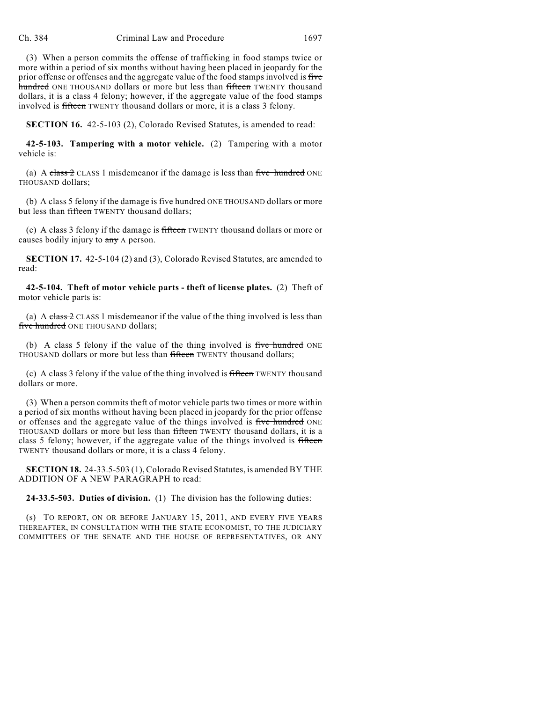(3) When a person commits the offense of trafficking in food stamps twice or more within a period of six months without having been placed in jeopardy for the prior offense or offenses and the aggregate value of the food stamps involved is five hundred ONE THOUSAND dollars or more but less than fifteen TWENTY thousand dollars, it is a class 4 felony; however, if the aggregate value of the food stamps involved is fifteen TWENTY thousand dollars or more, it is a class 3 felony.

**SECTION 16.** 42-5-103 (2), Colorado Revised Statutes, is amended to read:

**42-5-103. Tampering with a motor vehicle.** (2) Tampering with a motor vehicle is:

(a) A class  $2$  CLASS 1 misdemeanor if the damage is less than five hundred ONE THOUSAND dollars;

(b) A class 5 felony if the damage is five hundred ONE THOUSAND dollars or more but less than fifteen TWENTY thousand dollars;

(c) A class 3 felony if the damage is fifteen TWENTY thousand dollars or more or causes bodily injury to  $\frac{1}{x}$  A person.

**SECTION 17.** 42-5-104 (2) and (3), Colorado Revised Statutes, are amended to read:

**42-5-104. Theft of motor vehicle parts - theft of license plates.** (2) Theft of motor vehicle parts is:

(a) A  $\frac{class 2}{Class 1}$  misdemeanor if the value of the thing involved is less than five hundred ONE THOUSAND dollars;

(b) A class 5 felony if the value of the thing involved is five hundred ONE THOUSAND dollars or more but less than fifteen TWENTY thousand dollars;

(c) A class 3 felony if the value of the thing involved is fifteen TWENTY thousand dollars or more.

(3) When a person commits theft of motor vehicle parts two times or more within a period of six months without having been placed in jeopardy for the prior offense or offenses and the aggregate value of the things involved is five hundred ONE THOUSAND dollars or more but less than fifteen TWENTY thousand dollars, it is a class 5 felony; however, if the aggregate value of the things involved is fifteen TWENTY thousand dollars or more, it is a class 4 felony.

**SECTION 18.** 24-33.5-503 (1), Colorado Revised Statutes, is amended BY THE ADDITION OF A NEW PARAGRAPH to read:

**24-33.5-503. Duties of division.** (1) The division has the following duties:

(s) TO REPORT, ON OR BEFORE JANUARY 15, 2011, AND EVERY FIVE YEARS THEREAFTER, IN CONSULTATION WITH THE STATE ECONOMIST, TO THE JUDICIARY COMMITTEES OF THE SENATE AND THE HOUSE OF REPRESENTATIVES, OR ANY